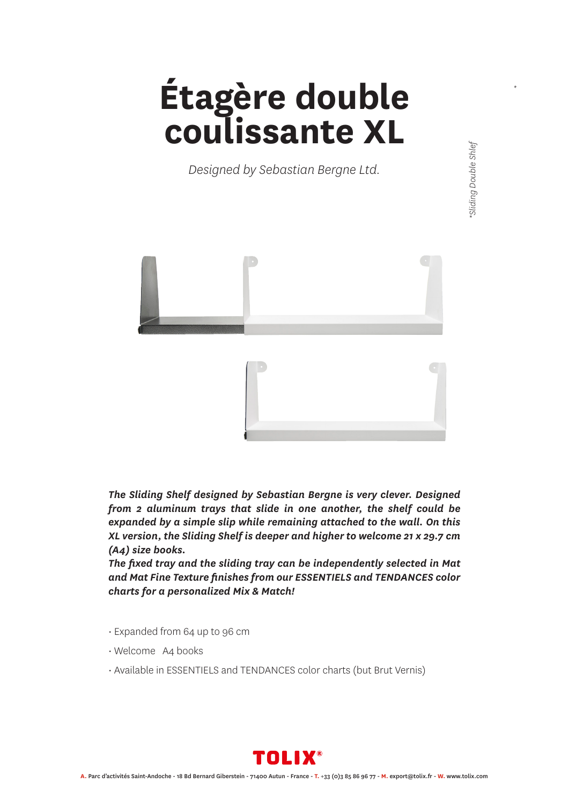## **Étagère double coulissante XL**

*Designed by Sebastian Bergne Ltd.*



*The Sliding Shelf designed by Sebastian Bergne is very clever. Designed from 2 aluminum trays that slide in one another, the shelf could be expanded by a simple slip while remaining attached to the wall. On this XL version, the Sliding Shelf is deeper and higher to welcome 21 x 29.7 cm (A4) size books.*

*The fixed tray and the sliding tray can be independently selected in Mat and Mat Fine Texture finishes from our ESSENTIELS and TENDANCES color charts for a personalized Mix & Match!*

- Expanded from 64 up to 96 cm
- Welcome A4 books
- Available in ESSENTIELS and TENDANCES color charts (but Brut Vernis)



*\**